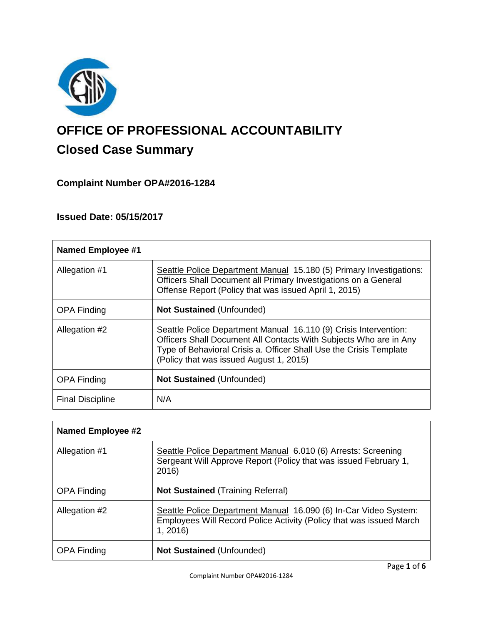

# **OFFICE OF PROFESSIONAL ACCOUNTABILITY Closed Case Summary**

# **Complaint Number OPA#2016-1284**

# **Issued Date: 05/15/2017**

| <b>Named Employee #1</b> |                                                                                                                                                                                                                                                        |
|--------------------------|--------------------------------------------------------------------------------------------------------------------------------------------------------------------------------------------------------------------------------------------------------|
| Allegation #1            | Seattle Police Department Manual 15.180 (5) Primary Investigations:<br>Officers Shall Document all Primary Investigations on a General<br>Offense Report (Policy that was issued April 1, 2015)                                                        |
| <b>OPA Finding</b>       | <b>Not Sustained (Unfounded)</b>                                                                                                                                                                                                                       |
| Allegation #2            | Seattle Police Department Manual 16.110 (9) Crisis Intervention:<br>Officers Shall Document All Contacts With Subjects Who are in Any<br>Type of Behavioral Crisis a. Officer Shall Use the Crisis Template<br>(Policy that was issued August 1, 2015) |
| <b>OPA Finding</b>       | <b>Not Sustained (Unfounded)</b>                                                                                                                                                                                                                       |
| <b>Final Discipline</b>  | N/A                                                                                                                                                                                                                                                    |

| Named Employee #2  |                                                                                                                                                    |
|--------------------|----------------------------------------------------------------------------------------------------------------------------------------------------|
| Allegation #1      | Seattle Police Department Manual 6.010 (6) Arrests: Screening<br>Sergeant Will Approve Report (Policy that was issued February 1,<br>2016)         |
| <b>OPA Finding</b> | <b>Not Sustained (Training Referral)</b>                                                                                                           |
| Allegation #2      | Seattle Police Department Manual 16.090 (6) In-Car Video System:<br>Employees Will Record Police Activity (Policy that was issued March<br>1, 2016 |
| <b>OPA Finding</b> | Not Sustained (Unfounded)                                                                                                                          |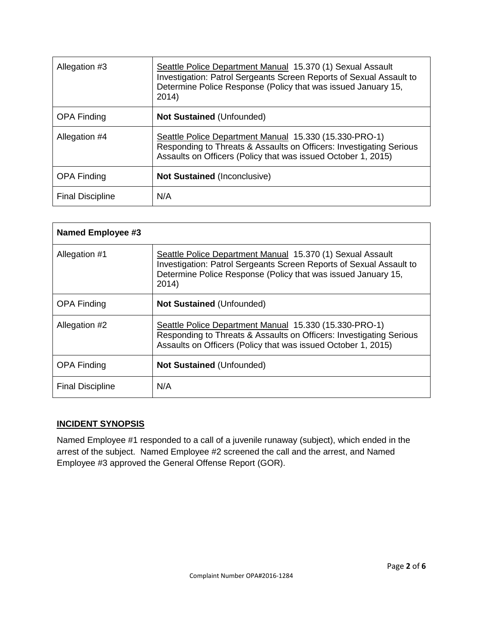| Allegation #3           | Seattle Police Department Manual 15.370 (1) Sexual Assault<br>Investigation: Patrol Sergeants Screen Reports of Sexual Assault to<br>Determine Police Response (Policy that was issued January 15,<br>2014) |
|-------------------------|-------------------------------------------------------------------------------------------------------------------------------------------------------------------------------------------------------------|
| <b>OPA Finding</b>      | <b>Not Sustained (Unfounded)</b>                                                                                                                                                                            |
| Allegation #4           | Seattle Police Department Manual 15.330 (15.330-PRO-1)<br>Responding to Threats & Assaults on Officers: Investigating Serious<br>Assaults on Officers (Policy that was issued October 1, 2015)              |
| <b>OPA Finding</b>      | <b>Not Sustained (Inconclusive)</b>                                                                                                                                                                         |
| <b>Final Discipline</b> | N/A                                                                                                                                                                                                         |

| <b>Named Employee #3</b> |                                                                                                                                                                                                             |
|--------------------------|-------------------------------------------------------------------------------------------------------------------------------------------------------------------------------------------------------------|
| Allegation #1            | Seattle Police Department Manual 15.370 (1) Sexual Assault<br>Investigation: Patrol Sergeants Screen Reports of Sexual Assault to<br>Determine Police Response (Policy that was issued January 15,<br>2014) |
| <b>OPA Finding</b>       | Not Sustained (Unfounded)                                                                                                                                                                                   |
| Allegation #2            | Seattle Police Department Manual 15.330 (15.330-PRO-1)<br>Responding to Threats & Assaults on Officers: Investigating Serious<br>Assaults on Officers (Policy that was issued October 1, 2015)              |
| <b>OPA Finding</b>       | <b>Not Sustained (Unfounded)</b>                                                                                                                                                                            |
| <b>Final Discipline</b>  | N/A                                                                                                                                                                                                         |

# **INCIDENT SYNOPSIS**

Named Employee #1 responded to a call of a juvenile runaway (subject), which ended in the arrest of the subject. Named Employee #2 screened the call and the arrest, and Named Employee #3 approved the General Offense Report (GOR).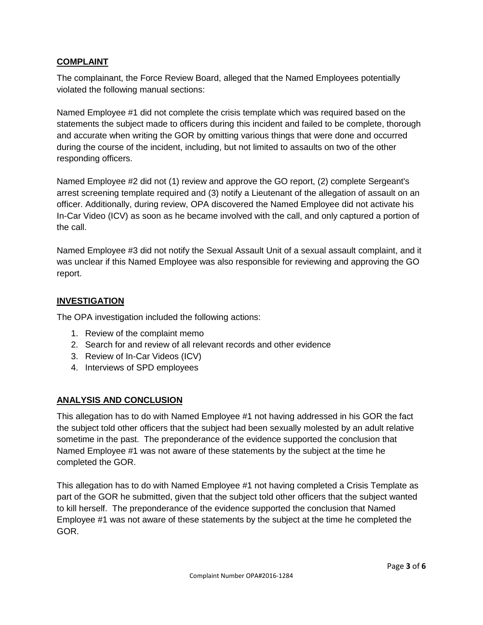## **COMPLAINT**

The complainant, the Force Review Board, alleged that the Named Employees potentially violated the following manual sections:

Named Employee #1 did not complete the crisis template which was required based on the statements the subject made to officers during this incident and failed to be complete, thorough and accurate when writing the GOR by omitting various things that were done and occurred during the course of the incident, including, but not limited to assaults on two of the other responding officers.

Named Employee #2 did not (1) review and approve the GO report, (2) complete Sergeant's arrest screening template required and (3) notify a Lieutenant of the allegation of assault on an officer. Additionally, during review, OPA discovered the Named Employee did not activate his In-Car Video (ICV) as soon as he became involved with the call, and only captured a portion of the call.

Named Employee #3 did not notify the Sexual Assault Unit of a sexual assault complaint, and it was unclear if this Named Employee was also responsible for reviewing and approving the GO report.

## **INVESTIGATION**

The OPA investigation included the following actions:

- 1. Review of the complaint memo
- 2. Search for and review of all relevant records and other evidence
- 3. Review of In-Car Videos (ICV)
- 4. Interviews of SPD employees

#### **ANALYSIS AND CONCLUSION**

This allegation has to do with Named Employee #1 not having addressed in his GOR the fact the subject told other officers that the subject had been sexually molested by an adult relative sometime in the past. The preponderance of the evidence supported the conclusion that Named Employee #1 was not aware of these statements by the subject at the time he completed the GOR.

This allegation has to do with Named Employee #1 not having completed a Crisis Template as part of the GOR he submitted, given that the subject told other officers that the subject wanted to kill herself. The preponderance of the evidence supported the conclusion that Named Employee #1 was not aware of these statements by the subject at the time he completed the GOR.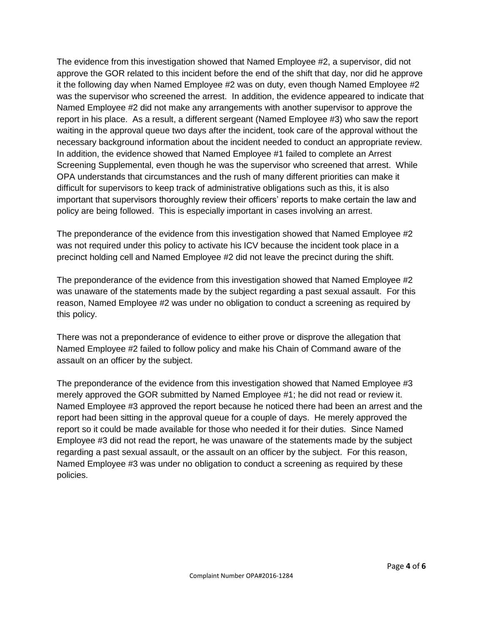The evidence from this investigation showed that Named Employee #2, a supervisor, did not approve the GOR related to this incident before the end of the shift that day, nor did he approve it the following day when Named Employee #2 was on duty, even though Named Employee #2 was the supervisor who screened the arrest. In addition, the evidence appeared to indicate that Named Employee #2 did not make any arrangements with another supervisor to approve the report in his place. As a result, a different sergeant (Named Employee #3) who saw the report waiting in the approval queue two days after the incident, took care of the approval without the necessary background information about the incident needed to conduct an appropriate review. In addition, the evidence showed that Named Employee #1 failed to complete an Arrest Screening Supplemental, even though he was the supervisor who screened that arrest. While OPA understands that circumstances and the rush of many different priorities can make it difficult for supervisors to keep track of administrative obligations such as this, it is also important that supervisors thoroughly review their officers' reports to make certain the law and policy are being followed. This is especially important in cases involving an arrest.

The preponderance of the evidence from this investigation showed that Named Employee #2 was not required under this policy to activate his ICV because the incident took place in a precinct holding cell and Named Employee #2 did not leave the precinct during the shift.

The preponderance of the evidence from this investigation showed that Named Employee #2 was unaware of the statements made by the subject regarding a past sexual assault. For this reason, Named Employee #2 was under no obligation to conduct a screening as required by this policy.

There was not a preponderance of evidence to either prove or disprove the allegation that Named Employee #2 failed to follow policy and make his Chain of Command aware of the assault on an officer by the subject.

The preponderance of the evidence from this investigation showed that Named Employee #3 merely approved the GOR submitted by Named Employee #1; he did not read or review it. Named Employee #3 approved the report because he noticed there had been an arrest and the report had been sitting in the approval queue for a couple of days. He merely approved the report so it could be made available for those who needed it for their duties. Since Named Employee #3 did not read the report, he was unaware of the statements made by the subject regarding a past sexual assault, or the assault on an officer by the subject. For this reason, Named Employee #3 was under no obligation to conduct a screening as required by these policies.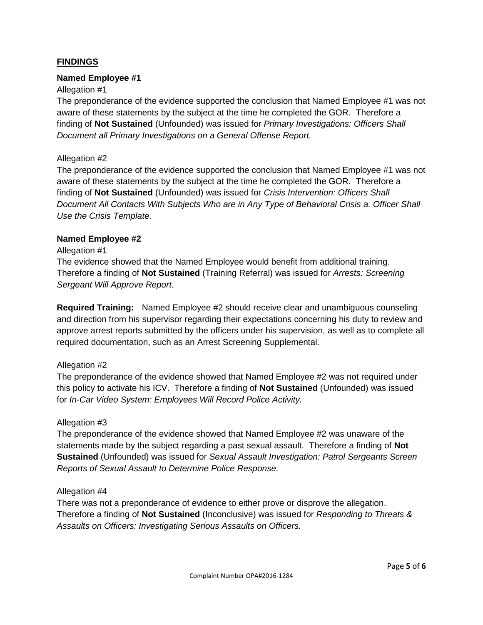## **FINDINGS**

#### **Named Employee #1**

#### Allegation #1

The preponderance of the evidence supported the conclusion that Named Employee #1 was not aware of these statements by the subject at the time he completed the GOR. Therefore a finding of **Not Sustained** (Unfounded) was issued for *Primary Investigations: Officers Shall Document all Primary Investigations on a General Offense Report.*

#### Allegation #2

The preponderance of the evidence supported the conclusion that Named Employee #1 was not aware of these statements by the subject at the time he completed the GOR. Therefore a finding of **Not Sustained** (Unfounded) was issued for *Crisis Intervention: Officers Shall Document All Contacts With Subjects Who are in Any Type of Behavioral Crisis a. Officer Shall Use the Crisis Template.*

#### **Named Employee #2**

#### Allegation #1

The evidence showed that the Named Employee would benefit from additional training. Therefore a finding of **Not Sustained** (Training Referral) was issued for *Arrests: Screening Sergeant Will Approve Report.*

**Required Training:** Named Employee #2 should receive clear and unambiguous counseling and direction from his supervisor regarding their expectations concerning his duty to review and approve arrest reports submitted by the officers under his supervision, as well as to complete all required documentation, such as an Arrest Screening Supplemental.

#### Allegation #2

The preponderance of the evidence showed that Named Employee #2 was not required under this policy to activate his ICV. Therefore a finding of **Not Sustained** (Unfounded) was issued for *In-Car Video System: Employees Will Record Police Activity.*

#### Allegation #3

The preponderance of the evidence showed that Named Employee #2 was unaware of the statements made by the subject regarding a past sexual assault. Therefore a finding of **Not Sustained** (Unfounded) was issued for *Sexual Assault Investigation: Patrol Sergeants Screen Reports of Sexual Assault to Determine Police Response.*

#### Allegation #4

There was not a preponderance of evidence to either prove or disprove the allegation. Therefore a finding of **Not Sustained** (Inconclusive) was issued for *Responding to Threats & Assaults on Officers: Investigating Serious Assaults on Officers.*